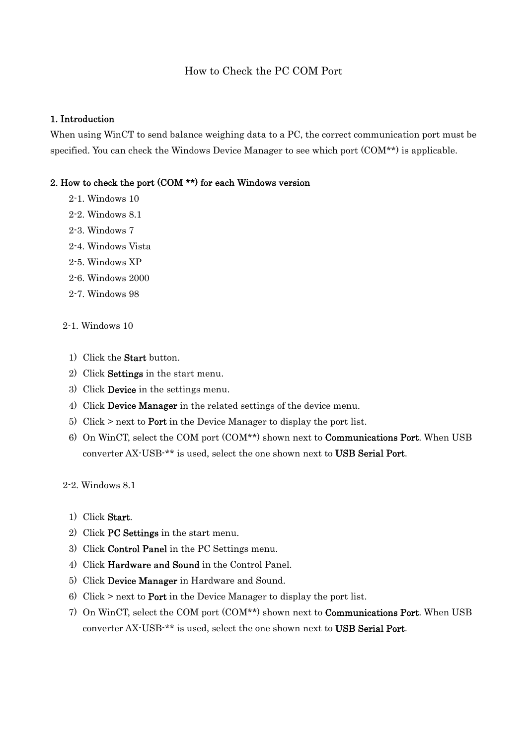#### How to Check the PC COM Port

#### 1. Introduction

When using WinCT to send balance weighing data to a PC, the correct communication port must be specified. You can check the Windows Device Manager to see which port (COM\*\*) is applicable.

#### 2. How to check the port (COM \*\*) for each Windows version

- 2-1. Windows 10
- 2-2. Windows 8.1
- 2-3. Windows 7
- 2-4. Windows Vista
- 2-5. Windows XP
- 2-6. Windows 2000
- 2-7. Windows 98

#### 2-1. Windows 10

- 1) Click the Start button.
- 2) Click Settings in the start menu.
- 3) Click Device in the settings menu.
- 4) Click Device Manager in the related settings of the device menu.
- 5) Click  $\geq$  next to **Port** in the Device Manager to display the port list.
- 6) On WinCT, select the COM port (COM\*\*) shown next to Communications Port. When USB converter AX-USB-\*\* is used, select the one shown next to USB Serial Port.

2-2. Windows 8.1

- 1) Click Start.
- 2) Click PC Settings in the start menu.
- 3) Click Control Panel in the PC Settings menu.
- 4) Click Hardware and Sound in the Control Panel.
- 5) Click Device Manager in Hardware and Sound.
- 6) Click > next to Port in the Device Manager to display the port list.
- 7) On WinCT, select the COM port (COM\*\*) shown next to Communications Port. When USB converter AX-USB-\*\* is used, select the one shown next to USB Serial Port.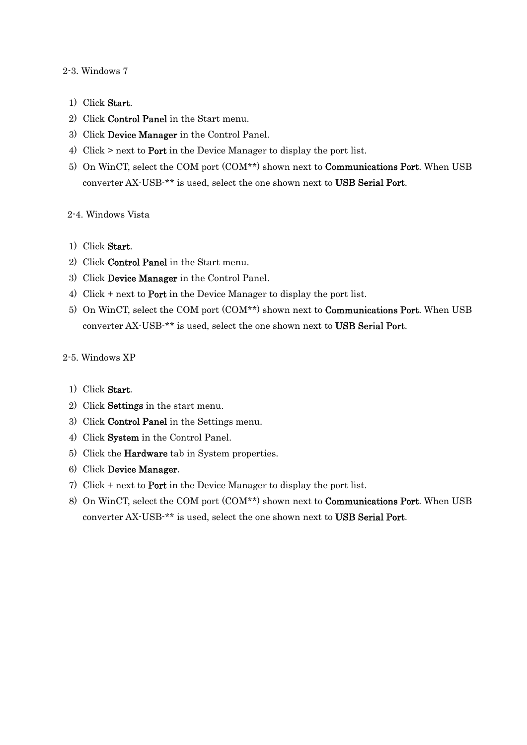#### 2-3. Windows 7

- 1) Click Start.
- 2) Click Control Panel in the Start menu.
- 3) Click Device Manager in the Control Panel.
- 4) Click > next to Port in the Device Manager to display the port list.
- 5) On WinCT, select the COM port (COM\*\*) shown next to Communications Port. When USB converter AX-USB-\*\* is used, select the one shown next to USB Serial Port.

#### 2-4. Windows Vista

- 1) Click Start.
- 2) Click Control Panel in the Start menu.
- 3) Click Device Manager in the Control Panel.
- 4) Click + next to Port in the Device Manager to display the port list.
- 5) On WinCT, select the COM port (COM\*\*) shown next to Communications Port. When USB converter AX-USB-\*\* is used, select the one shown next to USB Serial Port.

#### 2-5. Windows XP

#### 1) Click Start.

- 2) Click Settings in the start menu.
- 3) Click Control Panel in the Settings menu.
- 4) Click System in the Control Panel.
- 5) Click the Hardware tab in System properties.
- 6) Click Device Manager.
- 7) Click + next to Port in the Device Manager to display the port list.
- 8) On WinCT, select the COM port (COM\*\*) shown next to Communications Port. When USB converter AX-USB-\*\* is used, select the one shown next to USB Serial Port.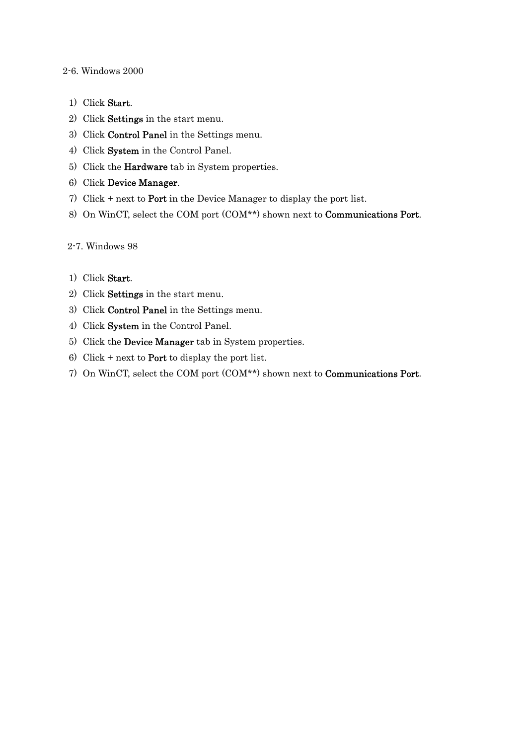2-6. Windows 2000

- 1) Click Start.
- 2) Click Settings in the start menu.
- 3) Click Control Panel in the Settings menu.
- 4) Click System in the Control Panel.
- 5) Click the Hardware tab in System properties.
- 6) Click Device Manager.
- 7) Click + next to Port in the Device Manager to display the port list.
- 8) On WinCT, select the COM port (COM\*\*) shown next to Communications Port.

#### 2-7. Windows 98

- 1) Click Start.
- 2) Click Settings in the start menu.
- 3) Click Control Panel in the Settings menu.
- 4) Click System in the Control Panel.
- 5) Click the Device Manager tab in System properties.
- 6) Click + next to **Port** to display the port list.
- 7) On WinCT, select the COM port (COM\*\*) shown next to Communications Port.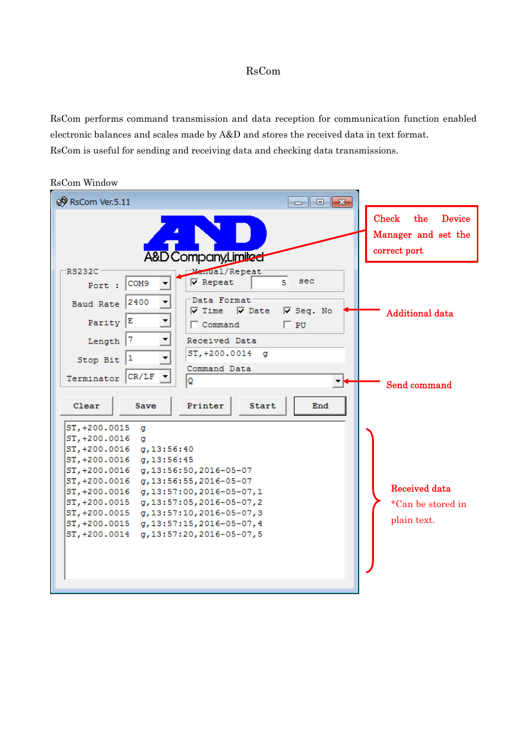### RsCom

RsCom performs command transmission and data reception for communication function enabled electronic balances and scales made by A&D and stores the received data in text format. RsCom is useful for sending and receiving data and checking data transmissions.

| RSCOM WINDOW                                                                                                 |                                                                             |
|--------------------------------------------------------------------------------------------------------------|-----------------------------------------------------------------------------|
| <b>®</b> RsCom Ver.5.11<br>$\Box$ $\Box$ $\mathbf{x}$                                                        |                                                                             |
| A&D Company,Limited                                                                                          | <b>Check</b><br>the<br><b>Device</b><br>Manager and set the<br>correct port |
| <b>Manual/Repeat</b><br>RS232C                                                                               |                                                                             |
| $\nabla$ Repeat<br>sec<br>5<br>COM9<br>Port :                                                                |                                                                             |
| Data Format<br>2400<br><b>Baud Rate</b><br>$\nabla$ Time<br>$\overline{\mathsf{v}}$ Date<br>$\nabla$ Seq. No | <b>Additional data</b>                                                      |
| E<br>▼<br>Parity<br>$\Box$ Command<br>$\Box$ PU                                                              |                                                                             |
| 7<br>▼<br>Length<br>Received Data                                                                            |                                                                             |
| ST, +200.0014<br>α<br>1<br>Stop Bit                                                                          |                                                                             |
| Command Data<br>CR/LF<br>Terminator                                                                          |                                                                             |
| ΙQ                                                                                                           | Send command                                                                |
| Clear<br>Printer<br>Start<br>Save<br>End                                                                     |                                                                             |
| ST, +200.0015<br>a<br>ST, +200.0016<br>α                                                                     |                                                                             |
| ST, +200.0016<br>q, 13:56:40                                                                                 |                                                                             |
| ST, +200.0016<br>g, 13:56:45                                                                                 |                                                                             |
| ST, +200.0016<br>g, 13:56:50, 2016-05-07                                                                     |                                                                             |
| ST, +200.0016<br>g, 13:56:55, 2016-05-07                                                                     | <b>Received data</b>                                                        |
| ST, +200.0016<br>g, 13:57:00, 2016-05-07, 1<br>ST, +200.0015<br>g, 13:57:05, 2016-05-07, 2                   |                                                                             |
| ST, +200.0015<br>g, 13:57:10, 2016-05-07, 3                                                                  | *Can be stored in                                                           |
| ST, +200.0015<br>g, 13:57:15, 2016-05-07, 4                                                                  | plain text.                                                                 |
| g, 13:57:20, 2016-05-07, 5<br>ST, +200.0014                                                                  |                                                                             |
|                                                                                                              |                                                                             |
|                                                                                                              |                                                                             |
|                                                                                                              |                                                                             |
|                                                                                                              |                                                                             |

# RsCom Window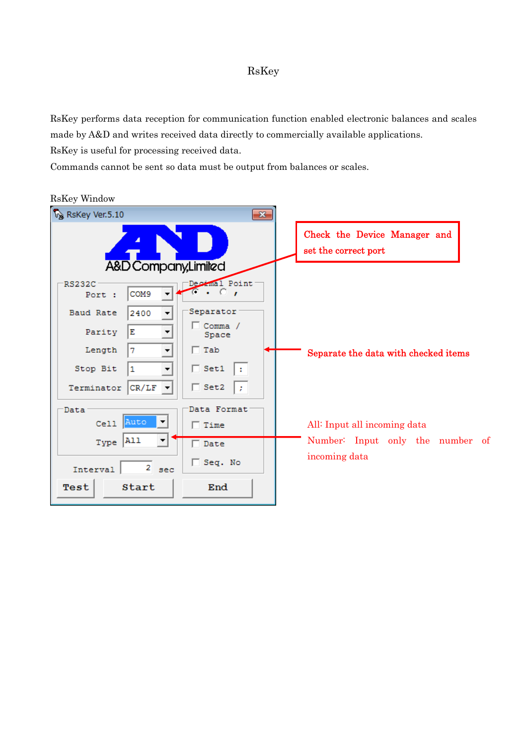### RsKey

RsKey performs data reception for communication function enabled electronic balances and scales made by A&D and writes received data directly to commercially available applications.

RsKey is useful for processing received data.

Commands cannot be sent so data must be output from balances or scales.

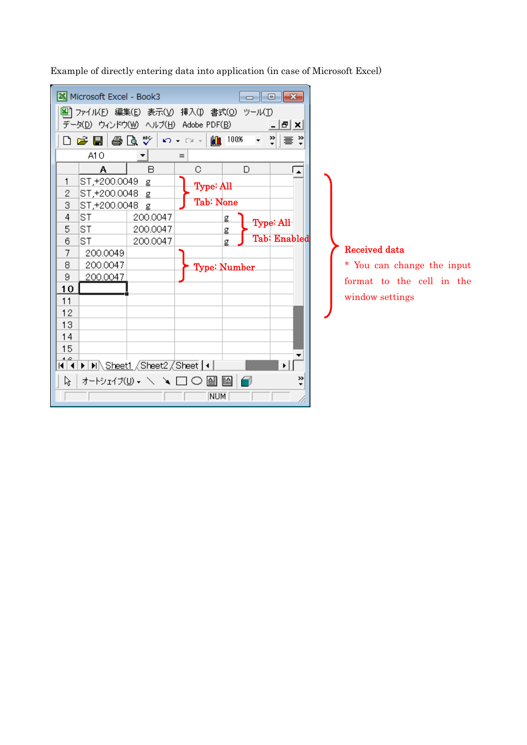

Example of directly entering data into application (in case of Microsoft Excel)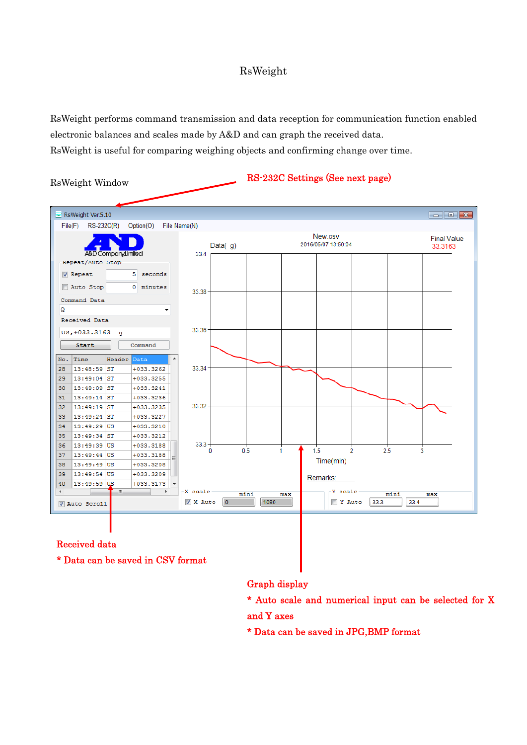### RsWeight

RsWeight performs command transmission and data reception for communication function enabled electronic balances and scales made by A&D and can graph the received data. RsWeight is useful for comparing weighing objects and confirming change over time.

RsWeight Window

RS-232C Settings (See next page)



#### Received data

\* Data can be saved in CSV format

Graph display

\* Auto scale and numerical input can be selected for X and Y axes

\* Data can be saved in JPG,BMP format